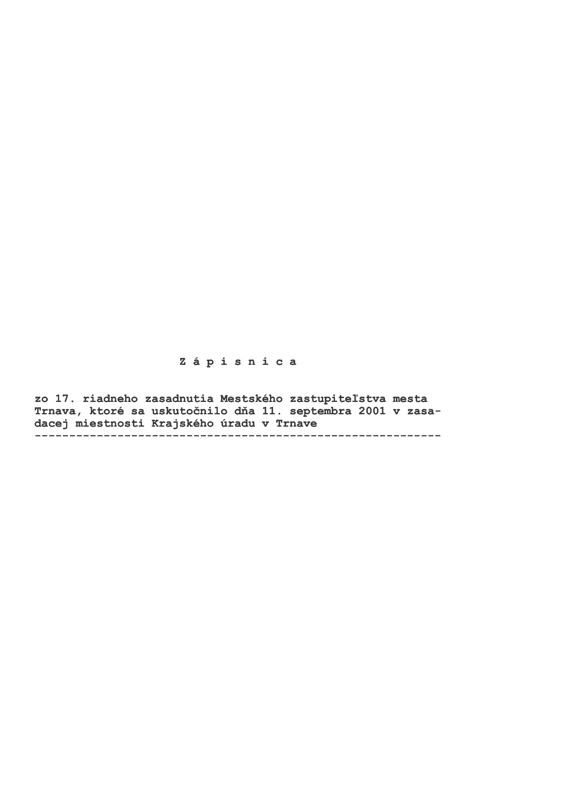## Zápisnica

zo 17. riadneho zasadnutia Mestského zastupiteľstva mesta Trnava, ktoré sa uskutočnilo dňa 11. septembra 2001 v zasadacej miestnosti Krajského úradu v Trnave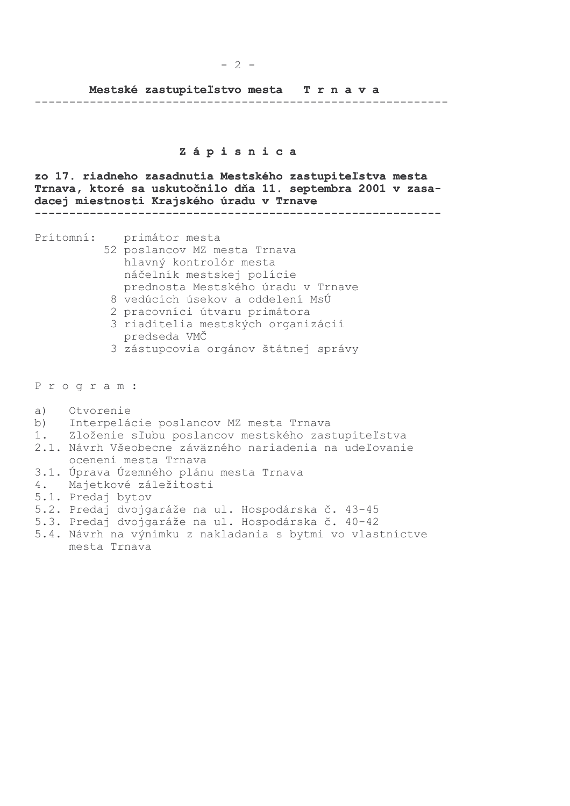#### $-2 -$

#### Mestské zastupiteľstvo mesta Trnava

### Zápisnica

zo 17. riadneho zasadnutia Mestského zastupiteľstva mesta Trnava, ktoré sa uskutočnilo dňa 11. septembra 2001 v zasadacej miestnosti Krajského úradu v Trnave 

Prítomní: primátor mesta

- 52 poslancov MZ mesta Trnava hlavný kontrolór mesta náčelník mestskej polície prednosta Mestského úradu v Trnave
- 8 vedúcich úsekov a oddelení MsÚ
- 2 pracovníci útvaru primátora
- 3 riaditelia mestských organizácií predseda VMČ
- 3 zástupcovia orgánov štátnej správy

Program:

- $a)$ Otvorenie
- $b)$ Interpelácie poslancov MZ mesta Trnava
- Zloženie sľubu poslancov mestského zastupiteľstva  $1.$
- 2.1. Návrh Všeobecne záväzného nariadenia na udeľovanie ocenení mesta Trnava
- 3.1. Úprava Územného plánu mesta Trnava
- Majetkové záležitosti 4.
- 5.1. Predaj bytov
- 5.2. Predaj dvojgaráže na ul. Hospodárska č. 43-45
- 5.3. Predaj dvojgaráže na ul. Hospodárska č. 40-42
- 5.4. Návrh na výnimku z nakladania s bytmi vo vlastníctve mesta Trnava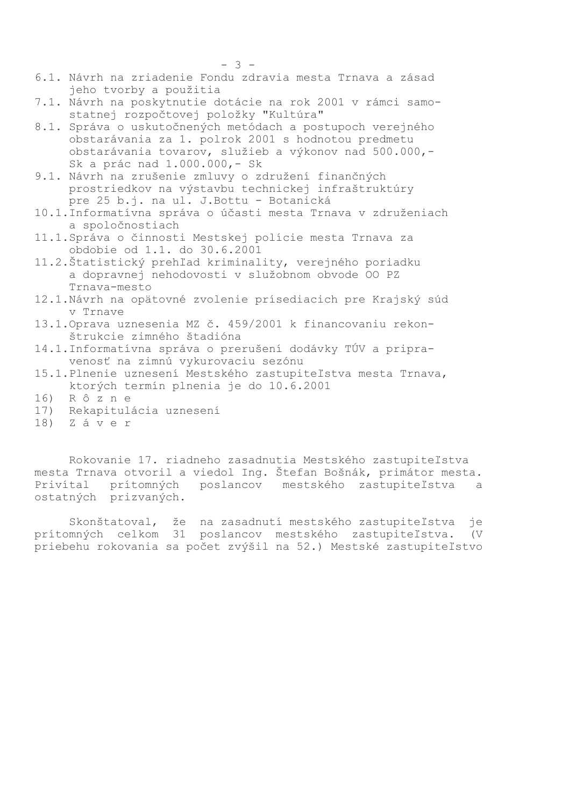- 6.1. Návrh na zriadenie Fondu zdravia mesta Trnava a zásad jeho tvorby a použitia
- 7.1. Návrh na poskytnutie dotácie na rok 2001 v rámci samostatnej rozpočtovej položky "Kultúra"
- 8.1. Správa o uskutočnených metódach a postupoch verejného obstarávania za 1. polrok 2001 s hodnotou predmetu obstarávania tovarov, služieb a výkonov nad 500.000,-Sk a prác nad 1.000.000,- Sk
- 9.1. Návrh na zrušenie zmluvy o združení finančných prostriedkov na výstavbu technickej infraštruktúry pre 25 b.j. na ul. J. Bottu - Botanická
- 10.1. Informatívna správa o účasti mesta Trnava v združeniach a spoločnostiach
- 11.1. Správa o činnosti Mestskej polície mesta Trnava za obdobie od 1.1. do 30.6.2001
- 11.2. Štatistický prehľad kriminality, verejného poriadku a dopravnej nehodovosti v služobnom obvode OO PZ Trnava-mesto
- 12.1. Návrh na opätovné zvolenie prísediacich pre Krajský súd y Trnave
- 13.1. Oprava uznesenia MZ č. 459/2001 k financovaniu rekonštrukcie zimného štadióna
- 14.1. Informatívna správa o prerušení dodávky TÚV a pripravenosť na zimnú vykurovaciu sezónu
- 15.1. Plnenie uznesení Mestského zastupiteľstva mesta Trnava, ktorých termín plnenia je do 10.6.2001
- 16) Rôzne
- $17)$ Rekapitulácia uznesení
- $18)$  Záver

Rokovanie 17. riadneho zasadnutia Mestského zastupiteľstva mesta Trnava otvoril a viedol Ing. Štefan Bošnák, primátor mesta. Privítal prítomných poslancov mestského zastupiteľstva  $\mathsf{a}$ ostatných prizvaných.

Skonštatoval, že na zasadnutí mestského zastupiteľstva jе prítomných celkom 31 poslancov mestského zastupiteľstva.  $\sqrt{V}$ priebehu rokovania sa počet zvýšil na 52.) Mestské zastupiteľstvo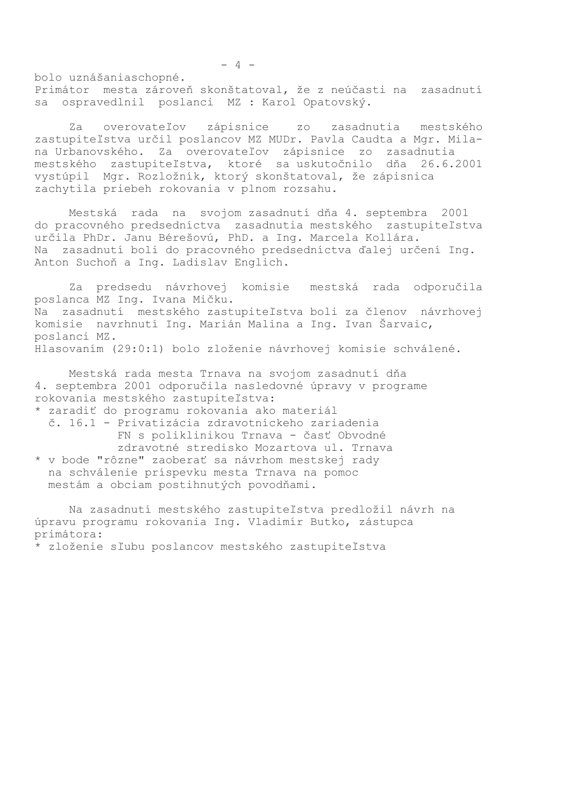bolo uznášaniaschopné. Primátor mesta zároveň skonštatoval, že z neúčasti na zasadnutí sa ospravedlnil poslanci MZ : Karol Opatovský.

overovateľov zápisnice zo zasadnutia mestského  $Za$ zastupiteľstva určil poslancov MZ MUDr. Pavla Caudta a Mgr. Milana Urbanovského. Za overovateľov zápisnice zo zasadnutia mestského zastupiteľstva, ktoré sa uskutočnilo dňa 26.6.2001 vystúpil Mgr. Rozložník, ktorý skonštatoval, že zápisnica zachytila priebeh rokovania v plnom rozsahu.

Mestská rada na svojom zasadnutí dňa 4. septembra 2001 do pracovného predsedníctva zasadnutia mestského zastupiteľstva určila PhDr. Janu Bérešovú, PhD. a Ing. Marcela Kollára. Na zasadnutí boli do pracovného predsedníctva ďalej určení Ing. Anton Suchoň a Ing. Ladislav Englich.

Za predsedu návrhovej komisie mestská rada odporučila poslanca MZ Ing. Ivana Mičku. Na zasadnutí mestského zastupiteľstva boli za členov návrhovej komisie navrhnutí Ing. Marián Malina a Ing. Ivan Šarvaic, poslanci MZ. Hlasovaním (29:0:1) bolo zloženie návrhovej komisie schválené.

Mestská rada mesta Trnava na svojom zasadnutí dňa 4. septembra 2001 odporučila nasledovné úpravy v programe rokovania mestského zastupiteľstva:

\* zaradiť do programu rokovania ako materiál

č. 16.1 - Privatizácia zdravotníckeho zariadenia FN s poliklinikou Trnava - časť Obvodné zdravotné stredisko Mozartova ul. Trnava \* v bode "rôzne" zaoberať sa návrhom mestskej rady na schválenie príspevku mesta Trnava na pomoc

mestám a obciam postihnutých povodňami.

Na zasadnutí mestského zastupiteľstva predložil návrh na úpravu programu rokovania Ing. Vladimír Butko, zástupca primátora:

\* zloženie sľubu poslancov mestského zastupiteľstva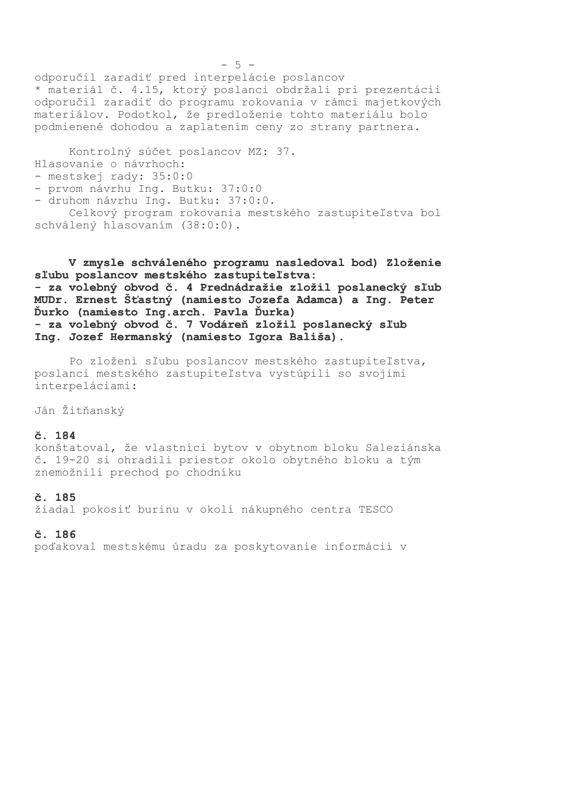odporučil zaradiť pred interpelácie poslancov \* materiál č. 4.15, ktorý poslanci obdržali pri prezentácii odporučil zaradiť do programu rokovania v rámci majetkových materiálov. Podotkol, že predloženie tohto materiálu bolo podmienené dohodou a zaplatením ceny zo strany partnera.

Kontrolný súčet poslancov MZ: 37. Hlasovanie o návrhoch: - mestskej rady: 35:0:0 - prvom návrhu Ing. Butku: 37:0:0 - druhom návrhu Ing. Butku: 37:0:0. Celkový program rokovania mestského zastupiteľstva bol schválený hlasovaním (38:0:0).

V zmysle schváleného programu nasledoval bod) Zloženie sľubu poslancov mestského zastupiteľstva: - za volebný obvod č. 4 Prednádražie zložil poslanecký sľub MUDr. Ernest Šťastný (namiesto Jozefa Adamca) a Ing. Peter Ďurko (namiesto Ing.arch. Pavla Ďurka) - za volebný obvod č. 7 Vodáreň zložil poslanecký sľub Ing. Jozef Hermanský (namiesto Igora Bališa).

Po zložení sľubu poslancov mestského zastupiteľstva, poslanci mestského zastupiteľstva vystúpili so svojimi interpeláciami:

Ján Žitňanský

#### č. 184

konštatoval, že vlastníci bytov v obytnom bloku Saleziánska č. 19-20 si ohradili priestor okolo obytného bloku a tým znemožnili prechod po chodníku

## č. 185

žiadal pokosiť burinu v okolí nákupného centra TESCO

#### č. 186

poďakoval mestskému úradu za poskytovanie informácií v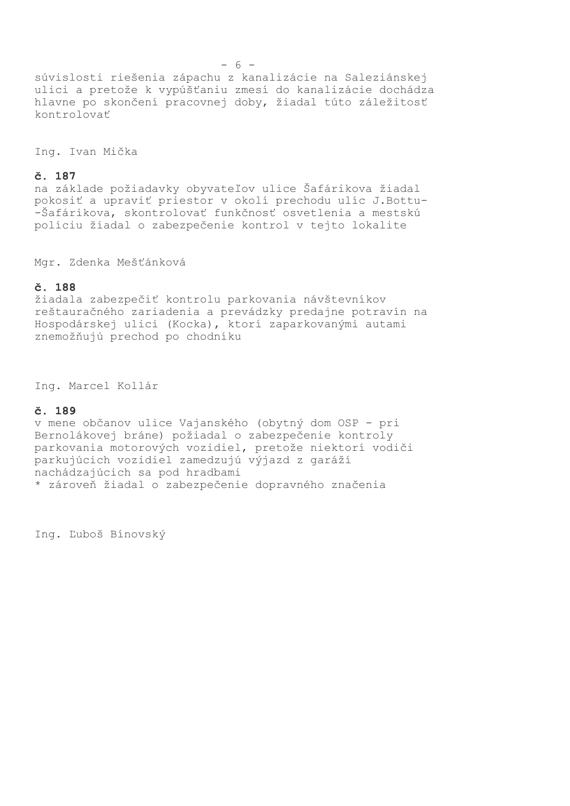súvislosti riešenia zápachu z kanalizácie na Saleziánskej ulici a pretože k vypúšťaniu zmesí do kanalizácie dochádza hlavne po skončení pracovnej doby, žiadal túto záležitosť kontrolovať

Ing. Ivan Mička

## č. 187

na základe požiadavky obyvateľov ulice Šafárikova žiadal pokosiť a upraviť priestor v okolí prechodu ulíc J.Bottu--Šafárikova, skontrolovať funkčnosť osvetlenia a mestskú políciu žiadal o zabezpečenie kontrol v tejto lokalite

Mgr. Zdenka Mešťánková

#### č. 188

žiadala zabezpečiť kontrolu parkovania návštevníkov reštauračného zariadenia a prevádzky predajne potravín na Hospodárskej ulici (Kocka), ktorí zaparkovanými autami znemožňujú prechod po chodníku

Ing. Marcel Kollár

#### č. 189

v mene občanov ulice Vajanského (obytný dom OSP - pri Bernolákovej bráne) požiadal o zabezpečenie kontroly parkovania motorových vozidiel, pretože niektorí vodiči parkujúcich vozidiel zamedzujú výjazd z garáží nachádzajúcich sa pod hradbami \* zároveň žiadal o zabezpečenie dopravného značenia

Ing. Ľuboš Bínovský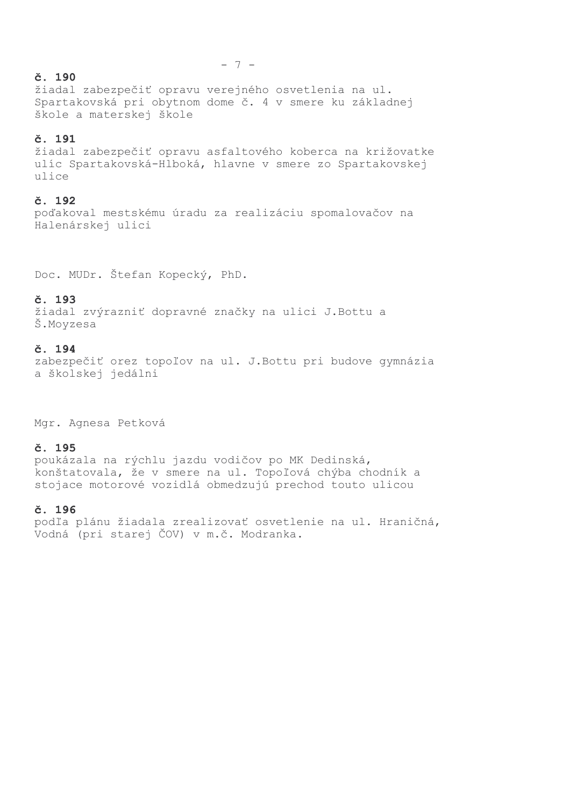## č. 190

žiadal zabezpečiť opravu verejného osvetlenia na ul. Spartakovská pri obytnom dome č. 4 v smere ku základnej škole a materskej škole

## č. 191

žiadal zabezpečiť opravu asfaltového koberca na križovatke ulíc Spartakovská-Hlboká, hlavne v smere zo Spartakovskej ulice

## č. 192

poďakoval mestskému úradu za realizáciu spomalovačov na Halenárskej ulici

Doc. MUDr. Štefan Kopecký, PhD.

## č. 193

žiadal zvýrazniť dopravné značky na ulici J.Bottu a Š.Moyzesa

## č. 194

zabezpečiť orez topoľov na ul. J.Bottu pri budove gymnázia a školskej jedálni

Mgr. Agnesa Petková

## č. 195

poukázala na rýchlu jazdu vodičov po MK Dedinská, konštatovala, že v smere na ul. Topoľová chýba chodník a stojace motorové vozidlá obmedzujú prechod touto ulicou

## č. 196

podľa plánu žiadala zrealizovať osvetlenie na ul. Hraničná, Vodná (pri starej ČOV) v m.č. Modranka.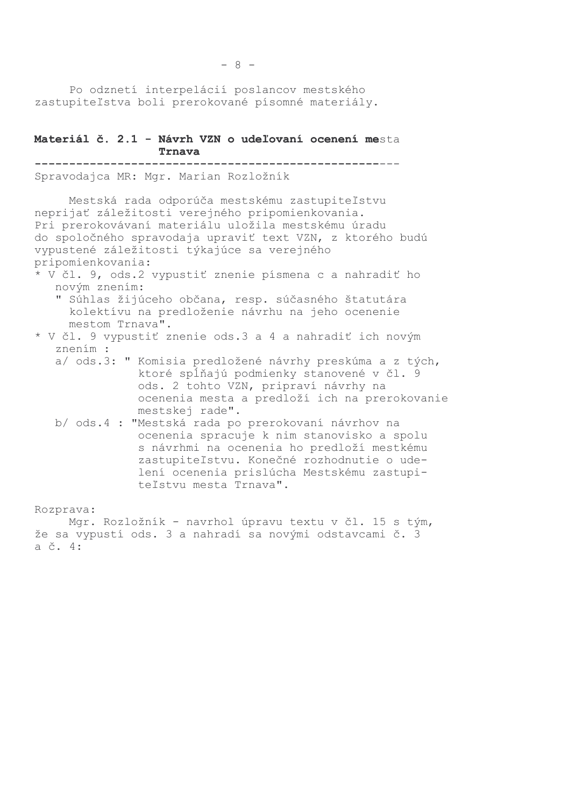Po odznetí interpelácií poslancov mestského zastupiteľstva boli prerokované písomné materiály.

Materiál č. 2.1 - Návrh VZN o udeľovaní ocenení mesta Trnava 

Spravodajca MR: Mgr. Marian Rozložník

Mestská rada odporúča mestskému zastupiteľstvu neprijať záležitosti verejného pripomienkovania. Pri prerokovávaní materiálu uložila mestskému úradu do spoločného spravodaja upraviť text VZN, z ktorého budú vypustené záležitosti týkajúce sa verejného pripomienkovania:

\* V čl. 9, ods.2 vypustiť znenie písmena c a nahradiť ho novým znením:

" Súhlas žijúceho občana, resp. súčasného štatutára kolektívu na predloženie návrhu na jeho ocenenie mestom Trnava".

- \* V čl. 9 vypustiť znenie ods.3 a 4 a nahradiť ich novým znením :
	- a/ ods.3: " Komisia predložené návrhy preskúma a z tých, ktoré spĺňajú podmienky stanovené v čl. 9 ods. 2 tohto VZN, pripraví návrhy na ocenenia mesta a predloží ich na prerokovanie mestskej rade".
	- b/ ods.4 : "Mestská rada po prerokovaní návrhov na ocenenia spracuje k nim stanovisko a spolu s návrhmi na ocenenia ho predloží mestkému zastupiteľstvu. Konečné rozhodnutie o udelení ocenenia prislúcha Mestskému zastupiteľstvu mesta Trnava".

Rozprava:

Mgr. Rozložník - navrhol úpravu textu v čl. 15 s tým, že sa vypustí ods. 3 a nahradí sa novými odstavcami č. 3 a č. 4: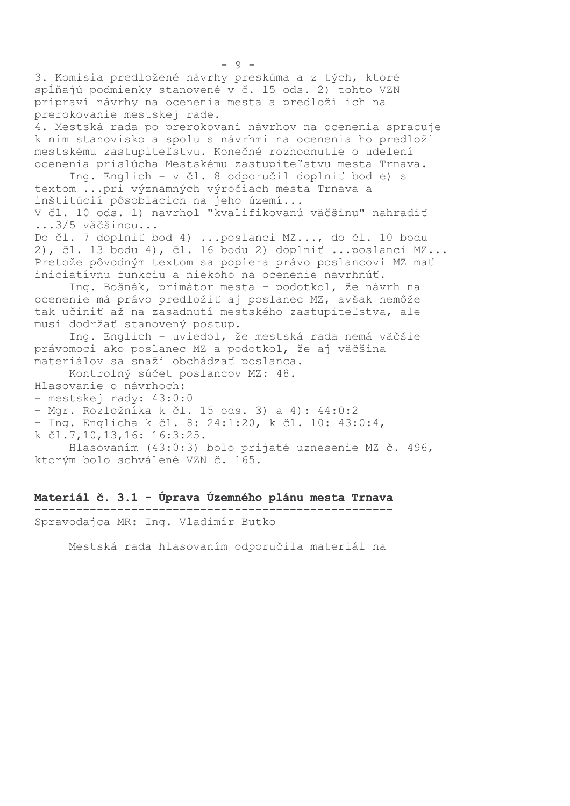3. Komisia predložené návrhy preskúma a z tých, ktoré spĺňajú podmienky stanovené v č. 15 ods. 2) tohto VZN pripraví návrhy na ocenenia mesta a predloží ich na prerokovanie mestskej rade. 4. Mestská rada po prerokovaní návrhov na ocenenia spracuje k nim stanovisko a spolu s návrhmi na ocenenia ho predloží mestskému zastupiteľstvu. Konečné rozhodnutie o udelení ocenenia prislúcha Mestskému zastupiteľstvu mesta Trnava. Ing. Englich - v čl. 8 odporučil doplniť bod e) s textom ... pri významných výročiach mesta Trnava a inštitúcií pôsobiacich na jeho území... V čl. 10 ods. 1) navrhol "kvalifikovanú väčšinu" nahradiť ...3/5 väčšinou... Do čl. 7 doplniť bod 4) ... poslanci MZ..., do čl. 10 bodu 2), čl. 13 bodu 4), čl. 16 bodu 2) doplniť ... poslanci MZ... Pretože pôvodným textom sa popiera právo poslancovi MZ mať iniciatívnu funkciu a niekoho na ocenenie navrhnúť. Ing. Bošnák, primátor mesta - podotkol, že návrh na ocenenie má právo predložiť aj poslanec MZ, avšak nemôže tak učiniť až na zasadnutí mestského zastupiteľstva, ale musí dodržať stanovený postup. Ing. Englich - uviedol, že mestská rada nemá väčšie právomoci ako poslanec MZ a podotkol, že aj väčšina materiálov sa snaží obchádzať poslanca. Kontrolný súčet poslancov MZ: 48. Hlasovanie o návrhoch: - mestskej rady: 43:0:0 - Mgr. Rozložníka k čl. 15 ods. 3) a 4): 44:0:2 - Ing. Englicha k čl. 8: 24:1:20, k čl. 10: 43:0:4, k čl.7,10,13,16: 16:3:25. Hlasovaním (43:0:3) bolo prijaté uznesenie MZ č. 496, ktorým bolo schválené VZN č. 165.

Materiál č. 3.1 - Úprava Územného plánu mesta Trnava . <u>. . . . . . . . . . . . . . . . . .</u> . . Spravodajca MR: Ing. Vladimír Butko

Mestská rada hlasovaním odporučila materiál na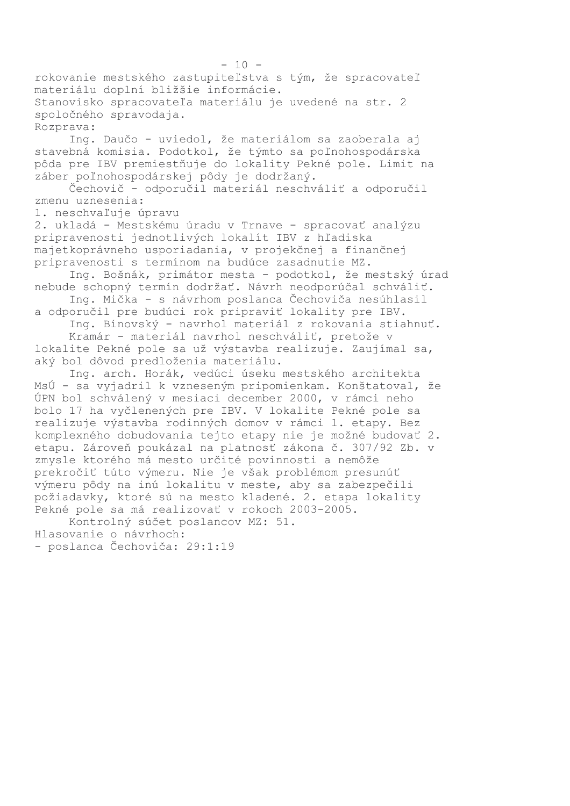rokovanie mestského zastupiteľstva s tým, že spracovateľ materiálu doplní bližšie informácie. Stanovisko spracovateľa materiálu je uvedené na str. 2 spoločného spravodaja. Rozprava:

Ing. Daučo - uviedol, že materiálom sa zaoberala aj stavebná komisia. Podotkol, že týmto sa poľnohospodárska pôda pre IBV premiestňuje do lokality Pekné pole. Limit na záber poľnohospodárskej pôdy je dodržaný.

Čechovič - odporučil materiál neschváliť a odporučil zmenu uznesenia:

1. neschvaľuje úpravu

2. ukladá - Mestskému úradu v Trnave - spracovať analýzu pripravenosti jednotlivých lokalít IBV z hľadiska majetkoprávneho usporiadania, v projekčnej a finančnej pripravenosti s termínom na budúce zasadnutie MZ.

Ing. Bošnák, primátor mesta - podotkol, že mestský úrad nebude schopný termín dodržať. Návrh neodporúčal schváliť.

Ing. Mička - s návrhom poslanca Čechoviča nesúhlasil a odporučil pre budúci rok pripraviť lokality pre IBV.

Ing. Bínovský - navrhol materiál z rokovania stiahnuť. Kramár - materiál navrhol neschváliť, pretože v

lokalite Pekné pole sa už výstavba realizuje. Zaujímal sa, aký bol dôvod predloženia materiálu.

Ing. arch. Horák, vedúci úseku mestského architekta MsÚ - sa vyjadril k vzneseným pripomienkam. Konštatoval, že ÚPN bol schválený v mesiaci december 2000, v rámci neho bolo 17 ha vyčlenených pre IBV. V lokalite Pekné pole sa realizuje výstavba rodinných domov v rámci 1. etapy. Bez komplexného dobudovania tejto etapy nie je možné budovať 2. etapu. Zároveň poukázal na platnosť zákona č. 307/92 Zb. v zmysle ktorého má mesto určité povinnosti a nemôže prekročiť túto výmeru. Nie je však problémom presunúť výmeru pôdy na inú lokalitu v meste, aby sa zabezpečili požiadavky, ktoré sú na mesto kladené. 2. etapa lokality Pekné pole sa má realizovať v rokoch 2003-2005.

Kontrolný súčet poslancov MZ: 51. Hlasovanie o návrhoch:

- poslanca Čechoviča: 29:1:19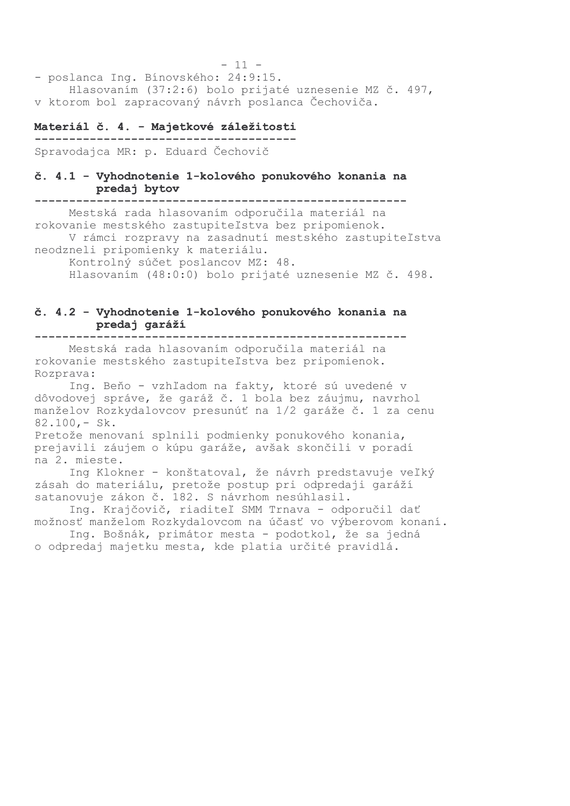$-11 -$ - poslanca Ing. Bínovského: 24:9:15. Hlasovaním (37:2:6) bolo prijaté uznesenie MZ č. 497, v ktorom bol zapracovaný návrh poslanca Čechoviča.

#### Materiál č. 4. - Majetkové záležitosti

Spravodajca MR: p. Eduard Čechovič

### č. 4.1 - Vyhodnotenie 1-kolového ponukového konania na predaj bytov

Mestská rada hlasovaním odporučila materiál na rokovanie mestského zastupiteľstva bez pripomienok. V rámci rozpravy na zasadnutí mestského zastupiteľstva neodzneli pripomienky k materiálu.

Kontrolný súčet poslancov MZ: 48. Hlasovaním (48:0:0) bolo prijaté uznesenie MZ č. 498.

### č. 4.2 - Vyhodnotenie 1-kolového ponukového konania na predaj garáží

---------------------------

Mestská rada hlasovaním odporučila materiál na rokovanie mestského zastupiteľstva bez pripomienok. Rozprava:

Ing. Beňo - vzhľadom na fakty, ktoré sú uvedené v dôvodovej správe, že garáž č. 1 bola bez záujmu, navrhol manželov Rozkydalovcov presunúť na 1/2 garáže č. 1 za cenu  $82.100 - Sk.$ 

Pretože menovaní splnili podmienky ponukového konania, prejavili záujem o kúpu garáže, avšak skončili v poradí na 2. mieste.

Ing Klokner - konštatoval, že návrh predstavuje veľký zásah do materiálu, pretože postup pri odpredaji garáží satanovuje zákon č. 182. S návrhom nesúhlasil.

Ing. Krajčovič, riaditeľ SMM Trnava - odporučil dať možnosť manželom Rozkydalovcom na účasť vo výberovom konaní.

Ing. Bošnák, primátor mesta - podotkol, že sa jedná o odpredaj majetku mesta, kde platia určité pravidlá.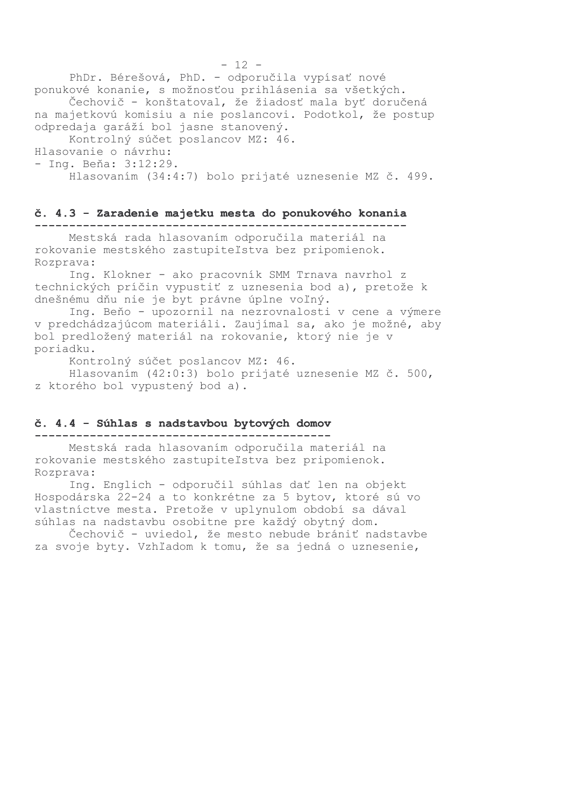PhDr. Bérešová, PhD. - odporučila vypísať nové ponukové konanie, s možnosťou prihlásenia sa všetkých. Čechovič - konštatoval, že žiadosť mala byť doručená na majetkovú komisiu a nie poslancovi. Podotkol, že postup odpredaja garáží bol jasne stanovený. Kontrolný súčet poslancov MZ: 46. Hlasovanie o návrhu: - Ing. Beňa: 3:12:29. Hlasovaním (34:4:7) bolo prijaté uznesenie MZ č. 499.

#### č. 4.3 - Zaradenie majetku mesta do ponukového konania

Mestská rada hlasovaním odporučila materiál na rokovanie mestského zastupiteľstva bez pripomienok. Rozprava:

Ing. Klokner - ako pracovník SMM Trnava navrhol z technických príčin vypustiť z uznesenia bod a), pretože k dnešnému dňu nie je byt právne úplne voľný.

Ing. Beňo - upozornil na nezrovnalosti v cene a výmere v predchádzajúcom materiáli. Zaujímal sa, ako je možné, aby bol predložený materiál na rokovanie, ktorý nie je v poriadku.

Kontrolný súčet poslancov MZ: 46.

Hlasovaním (42:0:3) bolo prijaté uznesenie MZ č. 500, z ktorého bol vypustený bod a).

#### č. 4.4 - Súhlas s nadstavbou bytových domov

Mestská rada hlasovaním odporučila materiál na rokovanie mestského zastupiteľstva bez pripomienok. Rozprava:

Ing. Englich - odporučil súhlas dať len na objekt Hospodárska 22-24 a to konkrétne za 5 bytov, ktoré sú vo vlastníctve mesta. Pretože v uplynulom období sa dával súhlas na nadstavbu osobitne pre každý obytný dom.

Čechovič - uviedol, že mesto nebude brániť nadstavbe za svoje byty. Vzhľadom k tomu, že sa jedná o uznesenie,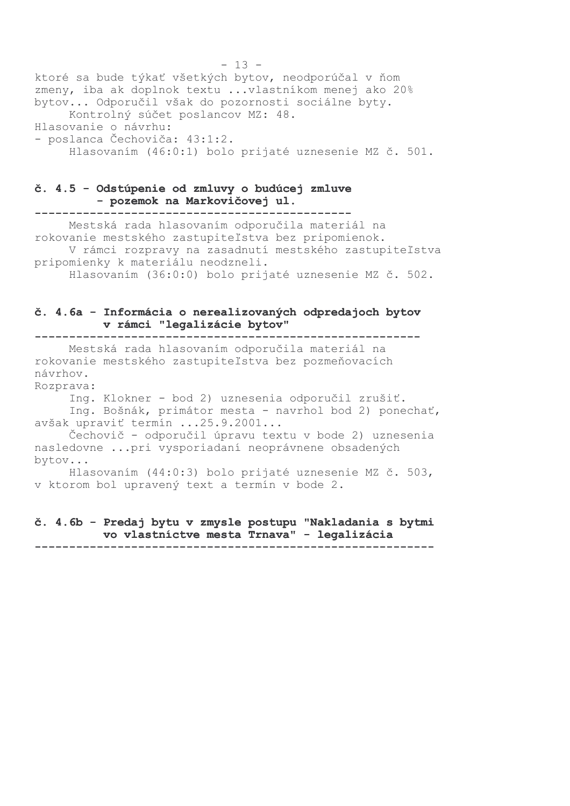$-13$ ktoré sa bude týkať všetkých bytov, neodporúčal v ňom zmeny, iba ak doplnok textu ... vlastníkom menej ako 20% bytov... Odporučil však do pozornosti sociálne byty. Kontrolný súčet poslancov MZ: 48. Hlasovanie o návrhu: - poslanca Čechoviča: 43:1:2. Hlasovaním (46:0:1) bolo prijaté uznesenie MZ č. 501.

#### č. 4.5 - Odstúpenie od zmluvy o budúcej zmluve - pozemok na Markovičovej ul.

Mestská rada hlasovaním odporučila materiál na rokovanie mestského zastupiteľstva bez pripomienok. V rámci rozpravy na zasadnutí mestského zastupiteľstva pripomienky k materiálu neodzneli. Hlasovaním (36:0:0) bolo prijaté uznesenie MZ č. 502.

### č. 4.6a - Informácia o nerealizovaných odpredajoch bytov v rámci "legalizácie bytov"

----------------------------

Mestská rada hlasovaním odporučila materiál na rokovanie mestského zastupiteľstva bez pozmeňovacích návrhov.

Rozprava:

Ing. Klokner - bod 2) uznesenia odporučil zrušiť. Inq. Bošnák, primátor mesta - navrhol bod 2) ponechať, avšak upraviť termín ...25.9.2001...

Čechovič - odporučil úpravu textu v bode 2) uznesenia nasledovne ... pri vysporiadaní neoprávnene obsadených bytov...

Hlasovaním (44:0:3) bolo prijaté uznesenie MZ č. 503, v ktorom bol upravený text a termín v bode 2.

#### č. 4.6b - Predaj bytu v zmysle postupu "Nakladania s bytmi vo vlastníctve mesta Trnava" - legalizácia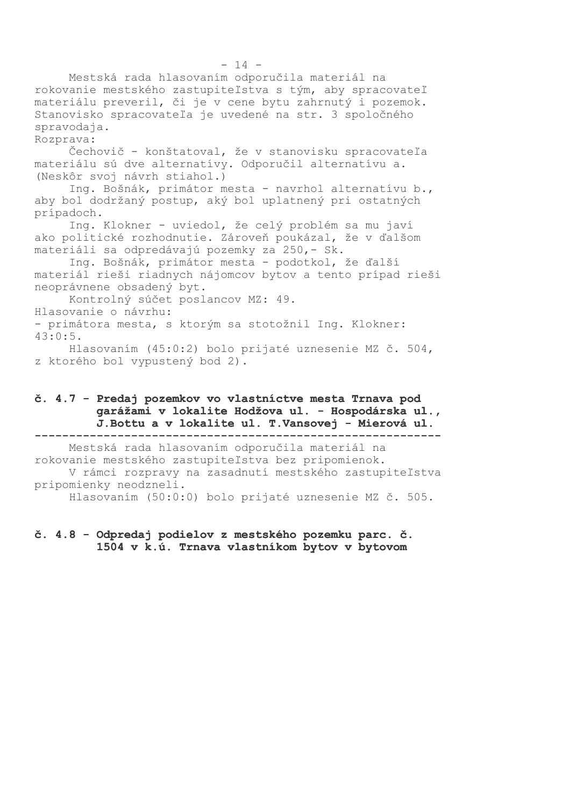Mestská rada hlasovaním odporučila materiál na rokovanie mestského zastupiteľstva s tým, aby spracovateľ materiálu preveril, či je v cene bytu zahrnutý i pozemok. Stanovisko spracovateľa je uvedené na str. 3 spoločného spravodaja. Rozprava: Čechovič - konštatoval, že v stanovisku spracovateľa materiálu sú dve alternatívy. Odporučil alternatívu a. (Neskôr svoj návrh stiahol.) Ing. Bošnák, primátor mesta - navrhol alternatívu b., aby bol dodržaný postup, aký bol uplatnený pri ostatných prípadoch. Ing. Klokner - uviedol, že celý problém sa mu javí ako politické rozhodnutie. Zároveň poukázal, že v ďalšom materiáli sa odpredávajú pozemky za 250,- Sk. Ing. Bošnák, primátor mesta - podotkol, že ďalší materiál rieši riadnych nájomcov bytov a tento prípad rieši neoprávnene obsadený byt. Kontrolný súčet poslancov MZ: 49. Hlasovanie o návrhu: - primátora mesta, s ktorým sa stotožnil Ing. Klokner:  $43:0:5$ . Hlasovaním (45:0:2) bolo prijaté uznesenie MZ č. 504, z ktorého bol vypustený bod 2).

### č. 4.7 - Predaj pozemkov vo vlastníctve mesta Trnava pod garážami v lokalite Hodžova ul. - Hospodárska ul., J. Bottu a v lokalite ul. T. Vansovej - Mierová ul.

Mestská rada hlasovaním odporučila materiál na rokovanie mestského zastupiteľstva bez pripomienok. V rámci rozpravy na zasadnutí mestského zastupiteľstva pripomienky neodzneli. Hlasovaním (50:0:0) bolo prijaté uznesenie MZ č. 505.

## č. 4.8 - Odpredaj podielov z mestského pozemku parc. č. 1504 v k.ú. Trnava vlastníkom bytov v bytovom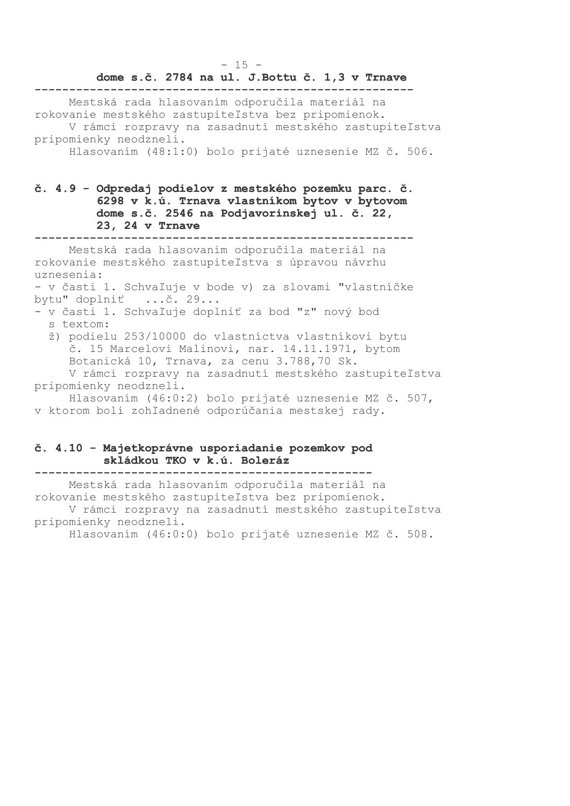#### $-15 -$

#### dome s.č. 2784 na ul. J. Bottu č. 1,3 v Trnave

Mestská rada hlasovaním odporučila materiál na rokovanie mestského zastupiteľstva bez pripomienok. V rámci rozpravy na zasadnutí mestského zastupiteľstva pripomienky neodzneli.

Hlasovaním (48:1:0) bolo prijaté uznesenie MZ č. 506.

## č. 4.9 - Odpredaj podielov z mestského pozemku parc. č. 6298 v k.ú. Trnava vlastníkom bytov v bytovom dome s.č. 2546 na Podjavorinskej ul. č. 22, 23, 24 v Trnave

Mestská rada hlasovaním odporučila materiál na

rokovanie mestského zastupiteľstva s úpravou návrhu uznesenia:

- v časti 1. Schvaľuje v bode v) za slovami "vlastníčke bytu" doplniť ...č. 29...

- v časti 1. Schvaľuje doplniť za bod "z" nový bod s textom:
	- ž) podielu 253/10000 do vlastníctva vlastníkovi bytu č. 15 Marcelovi Malinovi, nar. 14.11.1971, bytom Botanická 10, Trnava, za cenu 3.788,70 Sk. V rámci rozpravy na zasadnutí mestského zastupiteľstva

pripomienky neodzneli.

Hlasovaním (46:0:2) bolo prijaté uznesenie MZ č. 507, v ktorom boli zohľadnené odporúčania mestskej rady.

## č. 4.10 - Majetkoprávne usporiadanie pozemkov pod skládkou TKO v k.ú. Boleráz

Mestská rada hlasovaním odporučila materiál na rokovanie mestského zastupiteľstva bez pripomienok. V rámci rozpravy na zasadnutí mestského zastupiteľstva pripomienky neodzneli. Hlasovaním (46:0:0) bolo prijaté uznesenie MZ č. 508.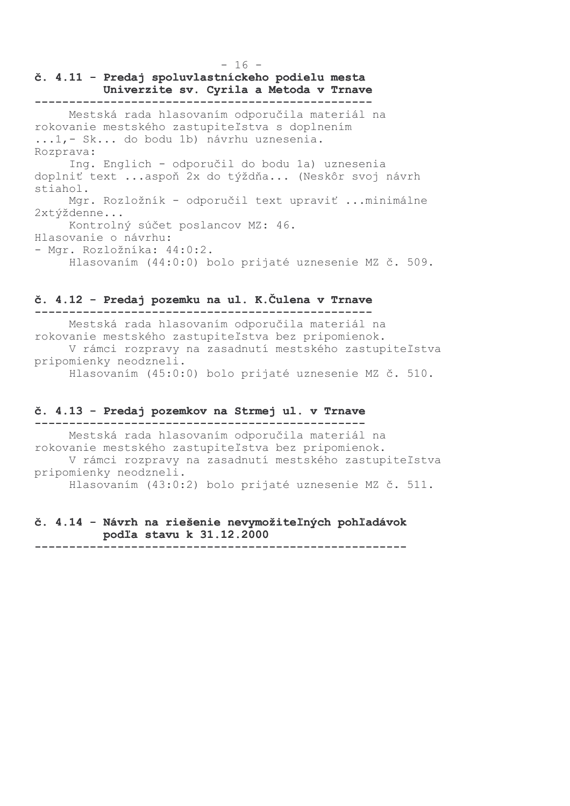$-16 -$ 

## č. 4.11 - Predaj spoluvlastníckeho podielu mesta Univerzite sv. Cyrila a Metoda v Trnave

Mestská rada hlasovaním odporučila materiál na rokovanie mestského zastupiteľstva s doplnením ...1, - Sk... do bodu 1b) návrhu uznesenia. Rozprava: Ing. Englich - odporučil do bodu 1a) uznesenia doplniť text ... aspoň 2x do týždňa... (Neskôr svoj návrh stiahol. Mgr. Rozložník - odporučil text upraviť ... minimálne 2xtýždenne... Kontrolný súčet poslancov MZ: 46. Hlasovanie o návrhu: - Mar. Rozložníka: 44:0:2. Hlasovaním (44:0:0) bolo prijaté uznesenie MZ č. 509.

#### č. 4.12 - Predaj pozemku na ul. K. Čulena v Trnave

Mestská rada hlasovaním odporučila materiál na rokovanie mestského zastupiteľstva bez pripomienok. V rámci rozpravy na zasadnutí mestského zastupiteľstva pripomienky neodzneli. Hlasovaním (45:0:0) bolo prijaté uznesenie MZ č. 510.

## č. 4.13 - Predaj pozemkov na Strmej ul. v Trnave

Mestská rada hlasovaním odporučila materiál na rokovanie mestského zastupiteľstva bez pripomienok. V rámci rozpravy na zasadnutí mestského zastupiteľstva pripomienky neodzneli. Hlasovaním (43:0:2) bolo prijaté uznesenie MZ č. 511.

## č. 4.14 - Návrh na riešenie nevymožiteľných pohľadávok podľa stavu k 31.12.2000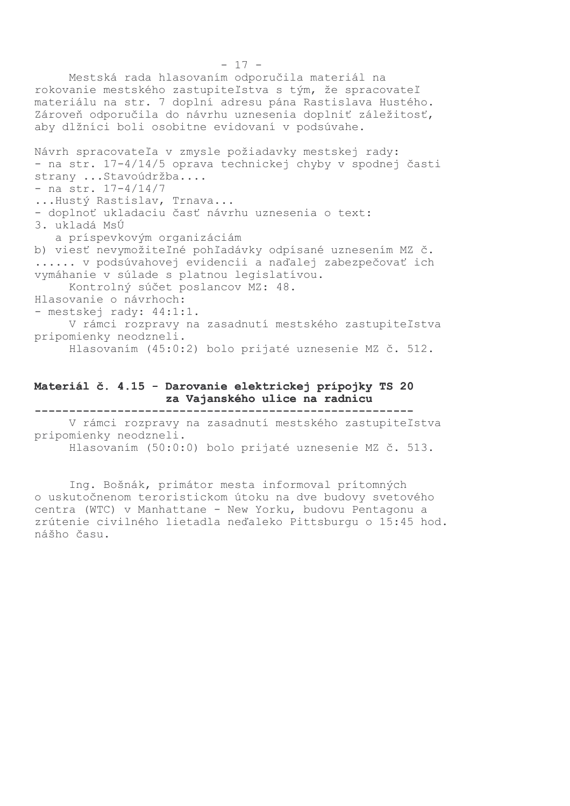Mestská rada hlasovaním odporučila materiál na rokovanie mestského zastupiteľstva s tým, že spracovateľ materiálu na str. 7 doplní adresu pána Rastislava Hustého. Zároveň odporučila do návrhu uznesenia doplniť záležitosť, aby dlžníci boli osobitne evidovaní v podsúvahe. Návrh spracovateľa v zmysle požiadavky mestskej rady: - na str. 17-4/14/5 oprava technickej chyby v spodnej časti strany ... Stavoúdržba.... - na str.  $17-4/14/7$ ...Hustý Rastislav, Trnava... - doplnoť ukladaciu časť návrhu uznesenia o text: 3. ukladá MsÚ a príspevkovým organizáciám b) viesť nevymožiteľné pohľadávky odpísané uznesením MZ č. ...... v podsúvahovej evidencii a naďalej zabezpečovať ich vymáhanie v súlade s platnou legislatívou. Kontrolný súčet poslancov MZ: 48. Hlasovanie o návrhoch: - mestskej rady: 44:1:1. V rámci rozpravy na zasadnutí mestského zastupiteľstva pripomienky neodzneli. Hlasovaním (45:0:2) bolo prijaté uznesenie MZ č. 512.

## Materiál č. 4.15 - Darovanie elektrickej prípojky TS 20 za Vajanského ulice na radnicu

V rámci rozpravy na zasadnutí mestského zastupiteľstva pripomienky neodzneli.

Hlasovaním (50:0:0) bolo prijaté uznesenie MZ č. 513.

Ing. Bošnák, primátor mesta informoval prítomných o uskutočnenom teroristickom útoku na dve budovy svetového centra (WTC) v Manhattane - New Yorku, budovu Pentagonu a zrútenie civilného lietadla neďaleko Pittsburgu o 15:45 hod. nášho času.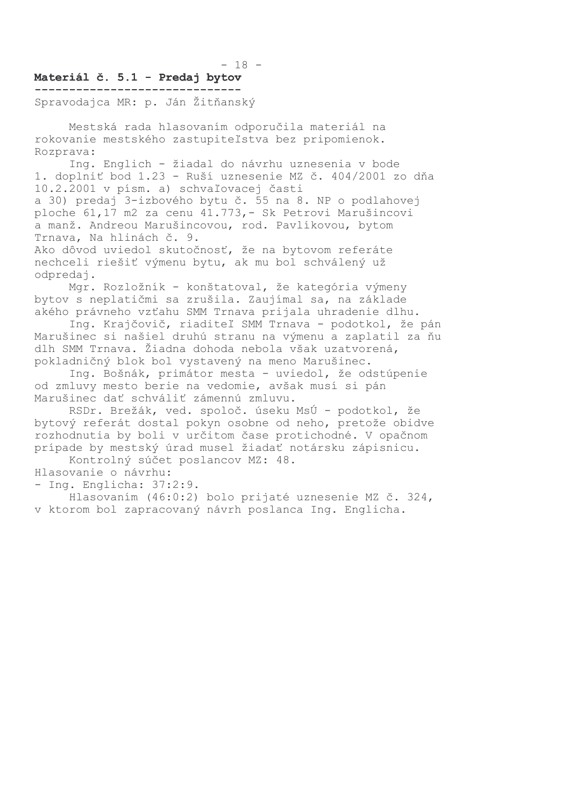#### $-18 -$

#### Materiál č. 5.1 - Predaj bytov -------------------------------

Spravodajca MR: p. Ján Žitňanský

Mestská rada hlasovaním odporučila materiál na rokovanie mestského zastupiteľstva bez pripomienok. Rozprava:

Ing. Englich - žiadal do návrhu uznesenia v bode 1. doplniť bod 1.23 - Ruší uznesenie MZ č. 404/2001 zo dňa 10.2.2001 v písm. a) schvaľovacej časti a 30) predaj 3-izbového bytu č. 55 na 8. NP o podlahovej ploche 61,17 m2 za cenu 41.773, - Sk Petrovi Marušincovi a manž. Andreou Marušincovou, rod. Pavlíkovou, bytom Trnava, Na hlinách č. 9.

Ako dôvod uviedol skutočnosť, že na bytovom referáte nechceli riešiť výmenu bytu, ak mu bol schválený už odpredaj.

Mgr. Rozložník - konštatoval, že kategória výmeny bytov s neplatičmi sa zrušila. Zaujímal sa, na základe akého právneho vzťahu SMM Trnava prijala uhradenie dlhu.

Ing. Krajčovič, riaditeľ SMM Trnava - podotkol, že pán Marušinec si našiel druhú stranu na výmenu a zaplatil za ňu dlh SMM Trnava. Žiadna dohoda nebola však uzatvorená, pokladničný blok bol vystavený na meno Marušinec.

Ing. Bošnák, primátor mesta - uviedol, že odstúpenie od zmluvy mesto berie na vedomie, avšak musí si pán Marušinec dať schváliť zámennú zmluvu.

RSDr. Brežák, ved. spoloč. úseku MsÚ - podotkol, že bytový referát dostal pokyn osobne od neho, pretože obidve rozhodnutia by boli v určitom čase protichodné. V opačnom prípade by mestský úrad musel žiadať notársku zápisnicu.

Kontrolný súčet poslancov MZ: 48.

Hlasovanie o návrhu:

- Ing. Englicha: 37:2:9.

Hlasovaním (46:0:2) bolo prijaté uznesenie MZ č. 324, v ktorom bol zapracovaný návrh poslanca Ing. Englicha.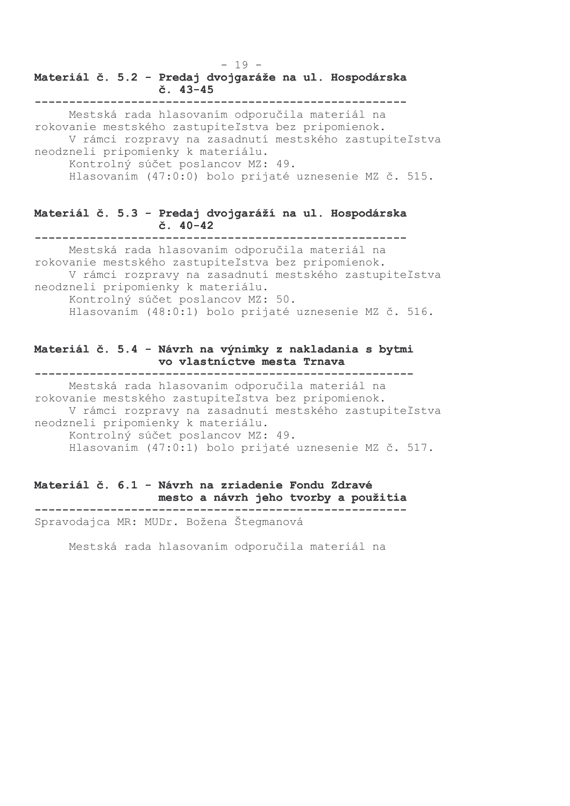## Materiál č. 5.2 - Predaj dvojgaráže na ul. Hospodárska  $\check{c}$ . 43-45

Mestská rada hlasovaním odporučila materiál na rokovanie mestského zastupiteľstva bez pripomienok. V rámci rozpravy na zasadnutí mestského zastupiteľstva neodzneli pripomienky k materiálu. Kontrolný súčet poslancov MZ: 49. Hlasovaním (47:0:0) bolo prijaté uznesenie MZ č. 515.

 $-19-$ 

#### Materiál č. 5.3 - Predaj dvojgaráží na ul. Hospodárska  $\check{c}$ . 40-42

Mestská rada hlasovaním odporučila materiál na rokovanie mestského zastupiteľstva bez pripomienok. V rámci rozpravy na zasadnutí mestského zastupiteľstva neodzneli pripomienky k materiálu. Kontrolný súčet poslancov MZ: 50. Hlasovaním (48:0:1) bolo prijaté uznesenie MZ č. 516.

## Materiál č. 5.4 - Návrh na výnimky z nakladania s bytmi vo vlastníctve mesta Trnava

Mestská rada hlasovaním odporučila materiál na rokovanie mestského zastupiteľstva bez pripomienok. V rámci rozpravy na zasadnutí mestského zastupiteľstva neodzneli pripomienky k materiálu. Kontrolný súčet poslancov MZ: 49. Hlasovaním (47:0:1) bolo prijaté uznesenie MZ č. 517.

Materiál č. 6.1 - Návrh na zriadenie Fondu Zdravé mesto a návrh jeho tvorby a použitia Spravodajca MR: MUDr. Božena Štegmanová

Mestská rada hlasovaním odporučila materiál na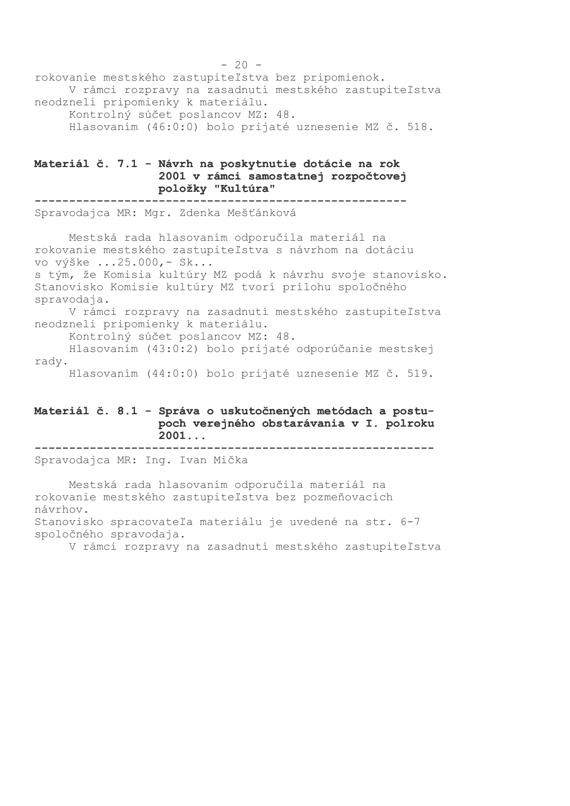rokovanie mestského zastupiteľstva bez pripomienok. V rámci rozpravy na zasadnutí mestského zastupiteľstva neodzneli pripomienky k materiálu. Kontrolný súčet poslancov MZ: 48. Hlasovaním (46:0:0) bolo prijaté uznesenie MZ č. 518.

## Materiál č. 7.1 - Návrh na poskytnutie dotácie na rok 2001 v rámci samostatnej rozpočtovej položky "Kultúra"

Spravodajca MR: Mgr. Zdenka Mešťánková

Mestská rada hlasovaním odporučila materiál na rokovanie mestského zastupiteľstva s návrhom na dotáciu vo výške ...25.000, - Sk... s tým, že Komisia kultúry MZ podá k návrhu svoje stanovisko. Stanovisko Komisie kultúry MZ tvorí prílohu spoločného spravodaja. V rámci rozpravy na zasadnutí mestského zastupiteľstva neodzneli pripomienky k materiálu. Kontrolný súčet poslancov MZ: 48. Hlasovaním (43:0:2) bolo prijaté odporúčanie mestskej rady.

Hlasovaním (44:0:0) bolo prijaté uznesenie MZ č. 519.

## Materiál č. 8.1 - Správa o uskutočnených metódach a postupoch verejného obstarávania v I. polroku  $2001...$

Spravodajca MR: Ing. Ivan Mička

Mestská rada hlasovaním odporučila materiál na rokovanie mestského zastupiteľstva bez pozmeňovacích návrhov. Stanovisko spracovateľa materiálu je uvedené na str. 6-7

spoločného spravodaja.

V rámci rozpravy na zasadnutí mestského zastupiteľstva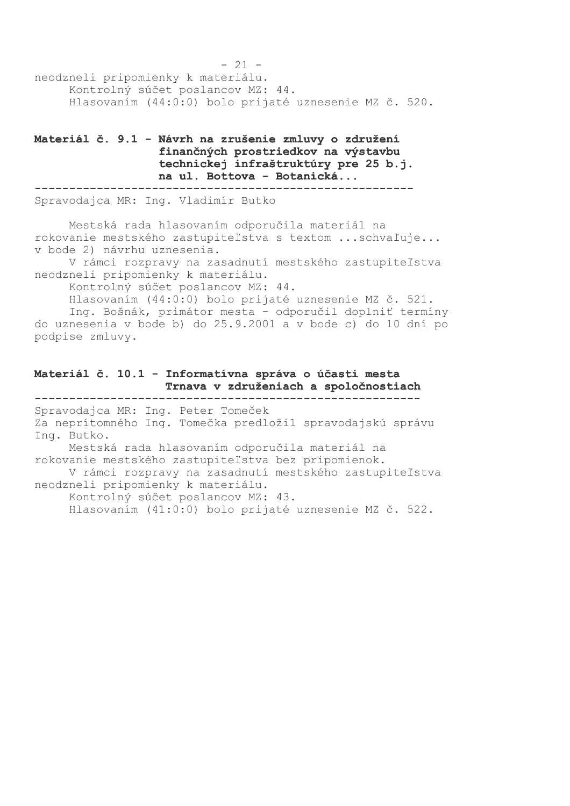$-21$ neodzneli pripomienky k materiálu. Kontrolný súčet poslancov MZ: 44. Hlasovaním (44:0:0) bolo prijaté uznesenie MZ č. 520.

## Materiál č. 9.1 - Návrh na zrušenie zmluvy o združení finančných prostriedkov na výstavbu technickej infraštruktúry pre 25 b.j. na ul. Bottova - Botanická...

Spravodajca MR: Ing. Vladimír Butko

Mestská rada hlasovaním odporučila materiál na rokovanie mestského zastupiteľstva s textom ... schvaľuje... v bode 2) návrhu uznesenia.

V rámci rozpravy na zasadnutí mestského zastupiteľstva neodzneli pripomienky k materiálu.

Kontrolný súčet poslancov MZ: 44.

Hlasovaním (44:0:0) bolo prijaté uznesenie MZ č. 521.

Inq. Bošnák, primátor mesta - odporučil doplniť termíny do uznesenia v bode b) do 25.9.2001 a v bode c) do 10 dní po podpise zmluvy.

#### Materiál č. 10.1 - Informatívna správa o účasti mesta Trnava v združeniach a spoločnostiach

Spravodajca MR: Ing. Peter Tomeček Za neprítomného Ing. Tomečka predložil spravodajskú správu Inq. Butko. Mestská rada hlasovaním odporučila materiál na rokovanie mestského zastupiteľstva bez pripomienok. V rámci rozpravy na zasadnutí mestského zastupiteľstva neodzneli pripomienky k materiálu. Kontrolný súčet poslancov MZ: 43. Hlasovaním (41:0:0) bolo prijaté uznesenie MZ č. 522.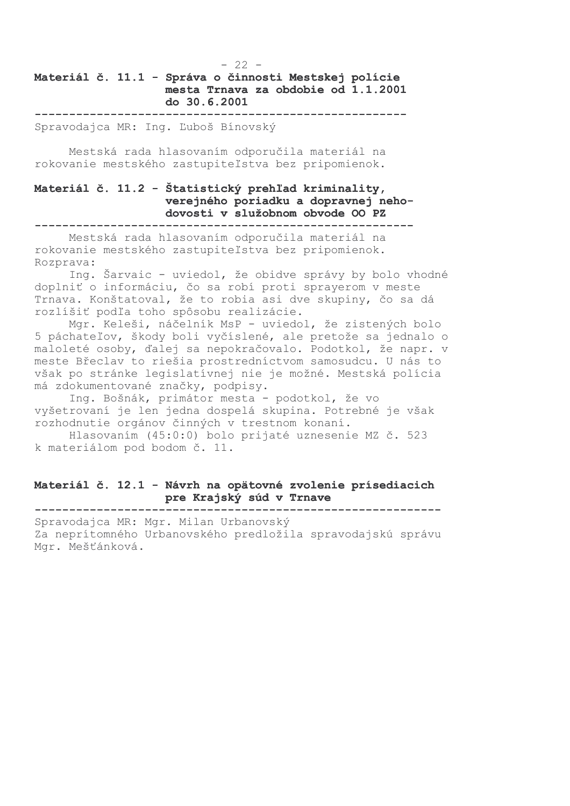## $-22 -$ Materiál č. 11.1 - Správa o činnosti Mestskej polície mesta Trnava za obdobie od 1.1.2001 do 30.6.2001

Spravodajca MR: Inq. Ľuboš Bínovský

Mestská rada hlasovaním odporučila materiál na rokovanie mestského zastupiteľstva bez pripomienok.

#### Materiál č. 11.2 - Štatistický prehľad kriminality, verejného poriadku a dopravnej nehodovosti v služobnom obvode OO PZ

Mestská rada hlasovaním odporučila materiál na rokovanie mestského zastupiteľstva bez pripomienok. Rozprava:

Ing. Šarvaic - uviedol, že obidve správy by bolo vhodné doplniť o informáciu, čo sa robí proti sprayerom v meste Trnava. Konštatoval, že to robia asi dve skupiny, čo sa dá rozlíšiť podľa toho spôsobu realizácie.

Mgr. Keleši, náčelník MsP - uviedol, že zistených bolo 5 páchateľov, škody boli vyčíslené, ale pretože sa jednalo o maloleté osoby, ďalej sa nepokračovalo. Podotkol, že napr. v meste Břeclav to riešia prostredníctvom samosudcu. U nás to však po stránke legislatívnej nie je možné. Mestská polícia má zdokumentované značky, podpisy.

Ing. Bošnák, primátor mesta - podotkol, že vo vyšetrovaní je len jedna dospelá skupina. Potrebné je však rozhodnutie orgánov činných v trestnom konaní.

Hlasovaním (45:0:0) bolo prijaté uznesenie MZ č. 523 k materiálom pod bodom č. 11.

## Materiál č. 12.1 - Návrh na opätovné zvolenie prísediacich pre Krajský súd v Trnave

-----------------------------------------------------------

Spravodajca MR: Mgr. Milan Urbanovský Za neprítomného Urbanovského predložila spravodajskú správu Mqr. Mešťánková.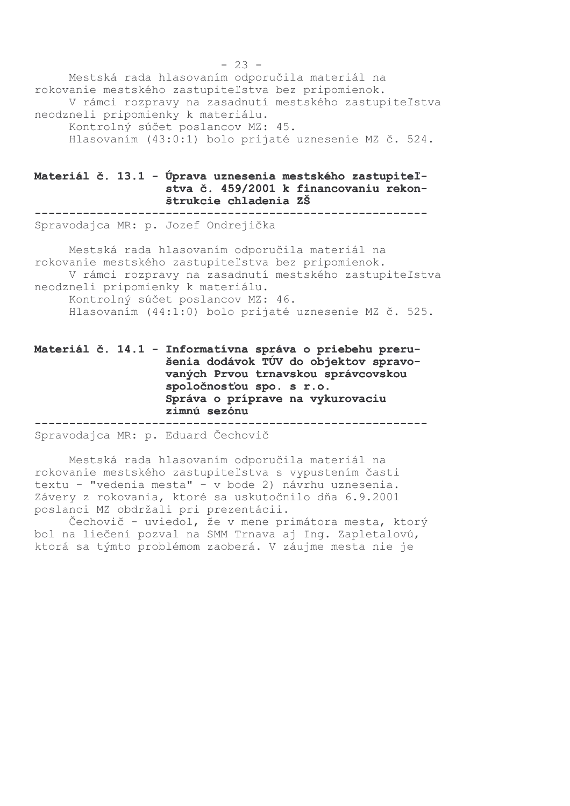Mestská rada hlasovaním odporučila materiál na rokovanie mestského zastupiteľstva bez pripomienok. V rámci rozpravy na zasadnutí mestského zastupiteľstva neodzneli pripomienky k materiálu. Kontrolný súčet poslancov MZ: 45. Hlasovaním (43:0:1) bolo prijaté uznesenie MZ č. 524.

## Materiál č. 13.1 - Úprava uznesenia mestského zastupiteľstva č. 459/2001 k financovaniu rekonštrukcie chladenia ZŠ

Spravodajca MR: p. Jozef Ondrejička

Mestská rada hlasovaním odporučila materiál na rokovanie mestského zastupiteľstva bez pripomienok. V rámci rozpravy na zasadnutí mestského zastupiteľstva neodzneli pripomienky k materiálu. Kontrolný súčet poslancov MZ: 46. Hlasovaním (44:1:0) bolo prijaté uznesenie MZ č. 525.

Materiál č. 14.1 - Informatívna správa o priebehu prerušenia dodávok TÚV do objektov spravovaných Prvou trnavskou správcovskou spoločnosťou spo. s r.o. Správa o príprave na vykurovaciu zimnú sezónu -------------------

------------------------Spravodajca MR: p. Eduard Čechovič

Mestská rada hlasovaním odporučila materiál na rokovanie mestského zastupiteľstva s vypustením časti textu - "vedenia mesta" - v bode 2) návrhu uznesenia. Závery z rokovania, ktoré sa uskutočnilo dňa 6.9.2001 poslanci MZ obdržali pri prezentácii.

Čechovič - uviedol, že v mene primátora mesta, ktorý bol na liečení pozval na SMM Trnava aj Ing. Zapletalovú, ktorá sa týmto problémom zaoberá. V záujme mesta nie je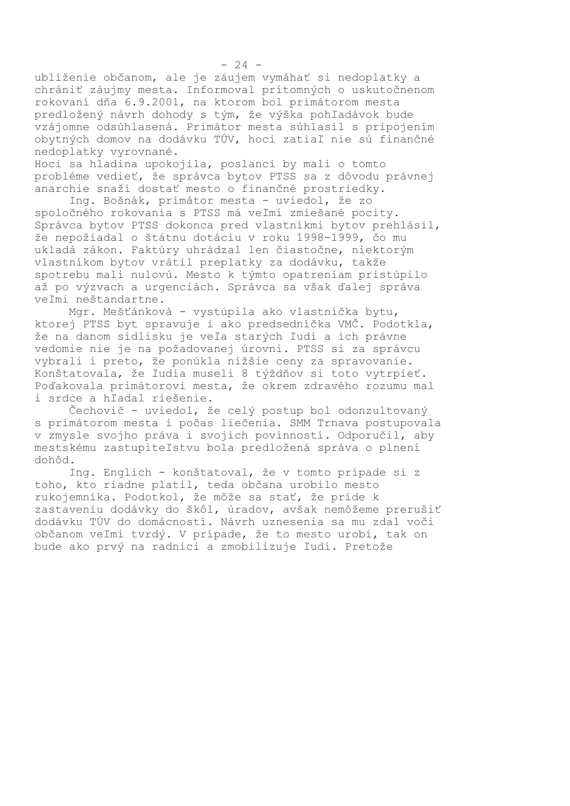ublíženie občanom, ale je záujem vymáhať si nedoplatky a chrániť záujmy mesta. Informoval prítomných o uskutočnenom rokovaní dňa 6.9.2001, na ktorom bol primátorom mesta predložený návrh dohody s tým, že výška pohľadávok bude vzájomne odsúhlasená. Primátor mesta súhlasil s pripojením obytných domov na dodávku TÚV, hoci zatiaľ nie sú finančné nedoplatky vyrovnané.

Hoci sa hladina upokojila, poslanci by mali o tomto probléme vedieť, že správca bytov PTSS sa z dôvodu právnej anarchie snaží dostať mesto o finančné prostriedky.

Ing. Bošnák, primátor mesta - uviedol, že zo spoločného rokovania s PTSS má veľmi zmiešané pocity. Správca bytov PTSS dokonca pred vlastníkmi bytov prehlásil, že nepožiadal o štátnu dotáciu v roku 1998-1999, čo mu ukladá zákon. Faktúry uhrádzal len čiastočne, niektorým vlastníkom bytov vrátil preplatky za dodávku, takže spotrebu mali nulovú. Mesto k týmto opatreniam pristúpilo až po výzvach a urgenciách. Správca sa však ďalej správa veľmi neštandartne.

Mgr. Mešťánková - vystúpila ako vlastníčka bytu, ktorej PTSS byt spravuje i ako predsedníčka VMČ. Podotkla, že na danom sídlisku je veľa starých ľudí a ich právne vedomie nie je na požadovanej úrovni. PTSS si za správcu vybrali i preto, že ponúkla nižšie ceny za spravovanie. Konštatovala, že ľudia museli 8 týždňov si toto vytrpieť. Poďakovala primátorovi mesta, že okrem zdravého rozumu mal i srdce a hľadal riešenie.

Čechovič - uviedol, že celý postup bol odonzultovaný s primátorom mesta i počas liečenia. SMM Trnava postupovala v zmysle svojho práva i svojich povinností. Odporučil, aby mestskému zastupiteľstvu bola predložená správa o plnení dohôd.

Ing. Englich - konštatoval, že v tomto prípade si z toho, kto riadne platil, teda občana urobilo mesto rukojemníka. Podotkol, že môže sa stať, že príde k zastaveniu dodávky do škôl, úradov, avšak nemôžeme prerušiť dodávku TÚV do domácností. Návrh uznesenia sa mu zdal voči občanom veľmi tvrdý. V prípade, že to mesto urobí, tak on bude ako prvý na radnici a zmobilizuje ľudí. Pretože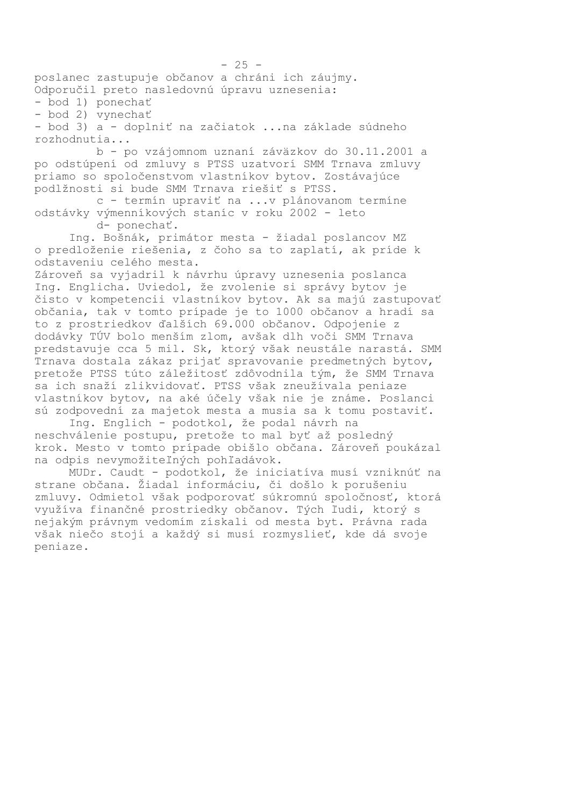poslanec zastupuje občanov a chráni ich záujmy. Odporučil preto nasledovnú úpravu uznesenia:

- bod 1) ponechať

- bod 2) vynechať

- bod 3) a - doplniť na začiatok ... na základe súdneho rozhodnutia...

b - po vzájomnom uznaní záväzkov do 30.11.2001 a po odstúpení od zmluvy s PTSS uzatvorí SMM Trnava zmluvy priamo so spoločenstvom vlastníkov bytov. Zostávajúce podlžnosti si bude SMM Trnava riešiť s PTSS.

c - termín upraviť na ...v plánovanom termíne odstávky výmenníkových staníc v roku 2002 - leto d- ponechať.

Ing. Bošnák, primátor mesta - žiadal poslancov MZ o predloženie riešenia, z čoho sa to zaplatí, ak príde k odstaveniu celého mesta.

Zároveň sa vyjadril k návrhu úpravy uznesenia poslanca Ing. Englicha. Uviedol, že zvolenie si správy bytov je čisto v kompetencii vlastníkov bytov. Ak sa majú zastupovať občania, tak v tomto prípade je to 1000 občanov a hradí sa to z prostriedkov ďalších 69.000 občanov. Odpojenie z dodávky TÚV bolo menším zlom, avšak dlh voči SMM Trnava predstavuje cca 5 mil. Sk, ktorý však neustále narastá. SMM Trnava dostala zákaz prijať spravovanie predmetných bytov, pretože PTSS túto záležitosť zdôvodnila tým, že SMM Trnava sa ich snaží zlikvidovať. PTSS však zneužívala peniaze vlastníkov bytov, na aké účely však nie je známe. Poslanci sú zodpovední za majetok mesta a musia sa k tomu postaviť.

Ing. Englich - podotkol, že podal návrh na neschválenie postupu, pretože to mal byť až posledný krok. Mesto v tomto prípade obišlo občana. Zároveň poukázal na odpis nevymožiteľných pohľadávok.

MUDr. Caudt - podotkol, že iniciatíva musí vzniknúť na strane občana. Žiadal informáciu, či došlo k porušeniu zmluvy. Odmietol však podporovať súkromnú spoločnosť, ktorá využíva finančné prostriedky občanov. Tých ľudi, ktorý s nejakým právnym vedomím získali od mesta byt. Právna rada však niečo stojí a každý si musí rozmyslieť, kde dá svoje peniaze.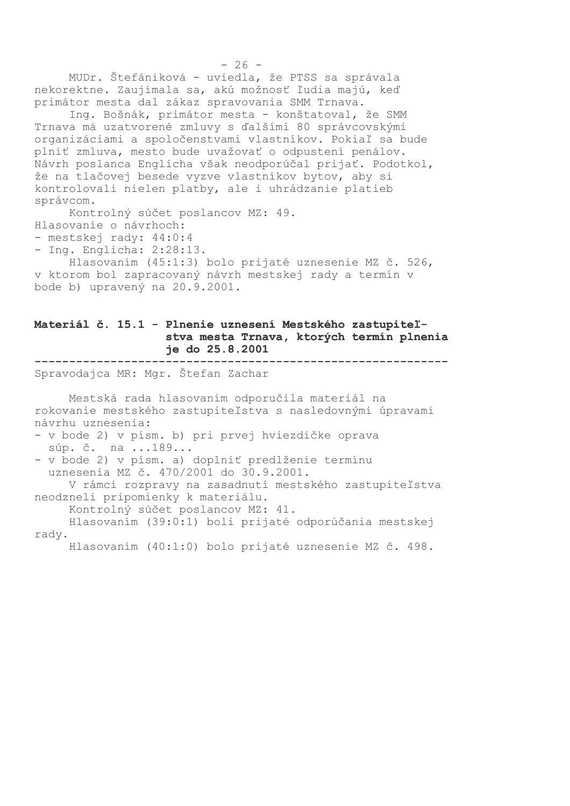MUDr. Štefániková - uviedla, že PTSS sa správala nekorektne. Zaujímala sa, akú možnosť ľudia majú, keď primátor mesta dal zákaz spravovania SMM Trnava.

Ing. Bošnák, primátor mesta - konštatoval, že SMM Trnava má uzatvorené zmluvy s ďalšími 80 správcovskými organizáciami a spoločenstvami vlastníkov. Pokiaľ sa bude plniť zmluva, mesto bude uvažovať o odpustení penálov. Návrh poslanca Englicha však neodporúčal prijať. Podotkol, že na tlačovej besede vyzve vlastníkov bytov, aby si kontrolovali nielen platby, ale i uhrádzanie platieb správcom.

Kontrolný súčet poslancov MZ: 49. Hlasovanie o návrhoch: - mestskej rady: 44:0:4 - Ing. Englicha:  $2:28:13$ . Hlasovaním (45:1:3) bolo prijaté uznesenie MZ č. 526,

v ktorom bol zapracovaný návrh mestskej rady a termín v bode b) upravený na 20.9.2001.

## Materiál č. 15.1 - Plnenie uznesení Mestského zastupiteľstva mesta Trnava, ktorých termín plnenia je do 25.8.2001

Spravodajca MR: Mgr. Štefan Zachar

Mestská rada hlasovaním odporučila materiál na rokovanie mestského zastupiteľstva s nasledovnými úpravami návrhu uznesenia:

```
- v bode 2) v písm. b) pri prvej hviezdičke oprava
súp. č. na ... 189...
```
- v bode 2) v písm. a) doplniť predlženie termínu uznesenia MZ č. 470/2001 do 30.9.2001. V rámci rozpravy na zasadnutí mestského zastupiteľstva

neodzneli pripomienky k materiálu.

Kontrolný súčet poslancov MZ: 41.

Hlasovaním (39:0:1) boli prijaté odporúčania mestskej rady.

Hlasovaním (40:1:0) bolo prijaté uznesenie MZ č. 498.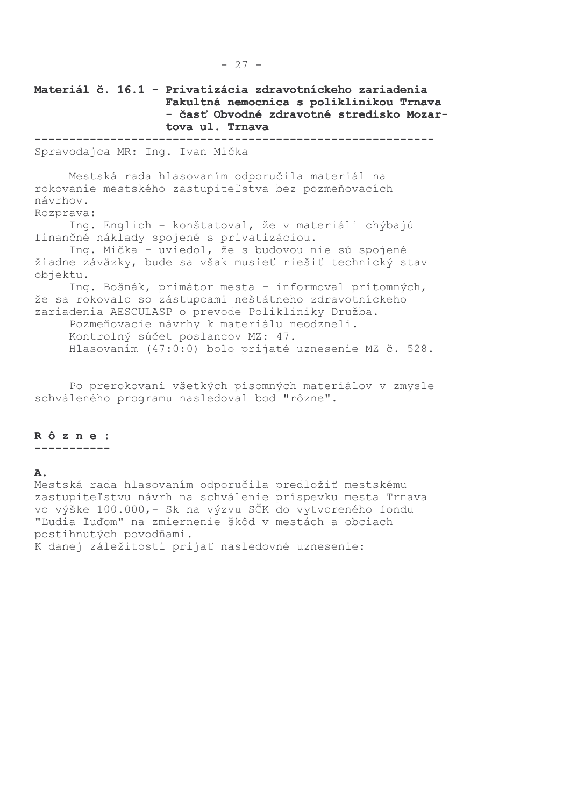Materiál č. 16.1 - Privatizácia zdravotníckeho zariadenia Fakultná nemocnica s poliklinikou Trnava - časť Obvodné zdravotné stredisko Mozartova ul. Trnava Spravodajca MR: Ing. Ivan Mička Mestská rada hlasovaním odporučila materiál na rokovanie mestského zastupiteľstva bez pozmeňovacích návrhov. Rozprava: Ing. Englich - konštatoval, že v materiáli chýbajú finančné náklady spojené s privatizáciou. Ing. Mička - uviedol, že s budovou nie sú spojené žiadne záväzky, bude sa však musieť riešiť technický stav objektu. Ing. Bošnák, primátor mesta - informoval prítomných, že sa rokovalo so zástupcami neštátneho zdravotníckeho zariadenia AESCULASP o prevode Polikliniky Družba. Pozmeňovacie návrhy k materiálu neodzneli. Kontrolný súčet poslancov MZ: 47. Hlasovaním (47:0:0) bolo prijaté uznesenie MZ č. 528.

Po prerokovaní všetkých písomných materiálov v zmysle schváleného programu nasledoval bod "rôzne".

# Rôzne:

-----------

#### Α.

Mestská rada hlasovaním odporučila predložiť mestskému zastupiteľstvu návrh na schválenie príspevku mesta Trnava vo výške 100.000,- Sk na výzvu SČK do vytvoreného fondu "Ľudia ľuďom" na zmiernenie škôd v mestách a obciach postihnutých povodňami. K danej záležitosti prijať nasledovné uznesenie: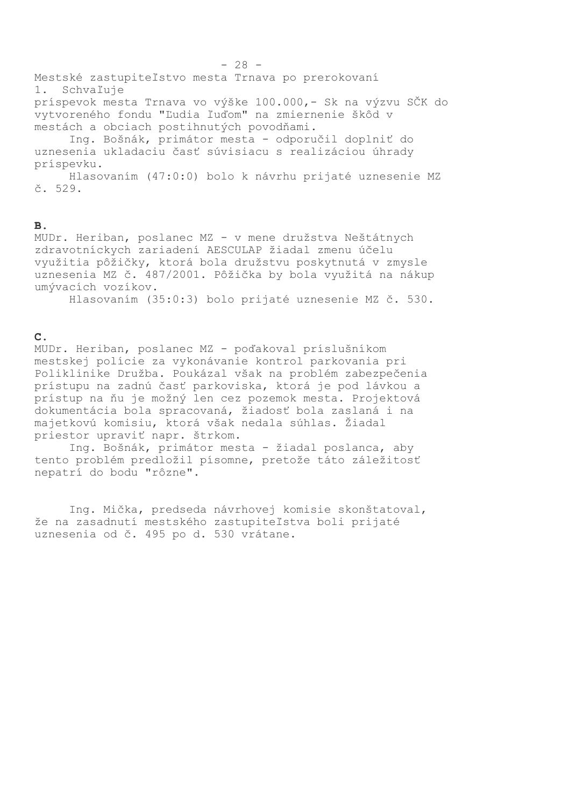Mestské zastupiteľstvo mesta Trnava po prerokovaní 1. Schvaľuje príspevok mesta Trnava vo výške 100.000,- Sk na výzvu SČK do vytvoreného fondu "Ľudia ľuďom" na zmiernenie škôd v mestách a obciach postihnutých povodňami. Ing. Bošnák, primátor mesta - odporučil doplniť do uznesenia ukladaciu časť súvisiacu s realizáciou úhrady príspevku.

Hlasovaním (47:0:0) bolo k návrhu prijaté uznesenie MZ  $\check{c}$ . 529.

#### $\overline{B}$ .

MUDr. Heriban, poslanec MZ - v mene družstva Neštátnych zdravotníckych zariadení AESCULAP žiadal zmenu účelu využitia pôžičky, ktorá bola družstvu poskytnutá v zmysle uznesenia MZ č. 487/2001. Pôžička by bola využitá na nákup umývacích vozíkov.

Hlasovaním (35:0:3) bolo prijaté uznesenie MZ č. 530.

#### $\mathbf{C}$ .

MUDr. Heriban, poslanec MZ - poďakoval príslušníkom mestskej polície za vykonávanie kontrol parkovania pri Poliklinike Družba. Poukázal však na problém zabezpečenia prístupu na zadnú časť parkoviska, ktorá je pod lávkou a prístup na ňu je možný len cez pozemok mesta. Projektová dokumentácia bola spracovaná, žiadosť bola zaslaná i na majetkovú komisiu, ktorá však nedala súhlas. Žiadal priestor upraviť napr. štrkom.

Ing. Bošnák, primátor mesta - žiadal poslanca, aby tento problém predložil písomne, pretože táto záležitosť nepatrí do bodu "rôzne".

Ing. Mička, predseda návrhovej komisie skonštatoval, že na zasadnutí mestského zastupiteľstva boli prijaté uznesenia od č. 495 po d. 530 vrátane.